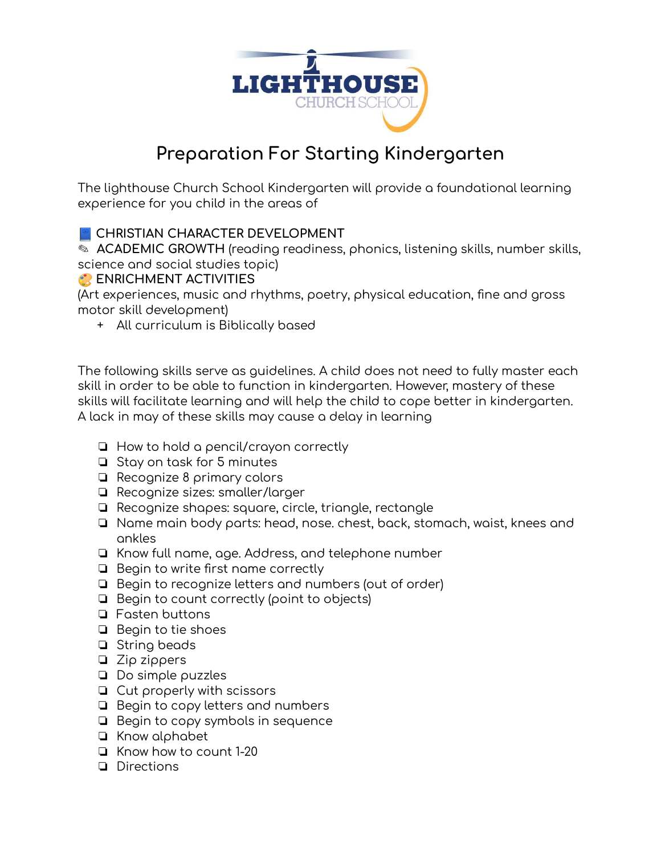

# **Preparation For Starting Kindergarten**

The lighthouse Church School Kindergarten will provide a foundational learning experience for you child in the areas of

## **CHRISTIAN CHARACTER DEVELOPMENT**

✎ **ACADEMIC GROWTH** (reading readiness, phonics, listening skills, number skills, science and social studies topic)

### **ENRICHMENT ACTIVITIES**

(Art experiences, music and rhythms, poetry, physical education, fine and gross motor skill development)

+ All curriculum is Biblically based

The following skills serve as guidelines. A child does not need to fully master each skill in order to be able to function in kindergarten. However, mastery of these skills will facilitate learning and will help the child to cope better in kindergarten. A lack in may of these skills may cause a delay in learning

- ❏ How to hold a pencil/crayon correctly
- ❏ Stay on task for 5 minutes
- ❏ Recognize 8 primary colors
- ❏ Recognize sizes: smaller/larger
- ❏ Recognize shapes: square, circle, triangle, rectangle
- ❏ Name main body parts: head, nose. chest, back, stomach, waist, knees and ankles
- ❏ Know full name, age. Address, and telephone number
- ❏ Begin to write first name correctly
- ❏ Begin to recognize letters and numbers (out of order)
- ❏ Begin to count correctly (point to objects)
- ❏ Fasten buttons
- ❏ Begin to tie shoes
- ❏ String beads
- ❏ Zip zippers
- ❏ Do simple puzzles
- ❏ Cut properly with scissors
- ❏ Begin to copy letters and numbers
- ❏ Begin to copy symbols in sequence
- ❏ Know alphabet
- ❏ Know how to count 1-20
- ❏ Directions